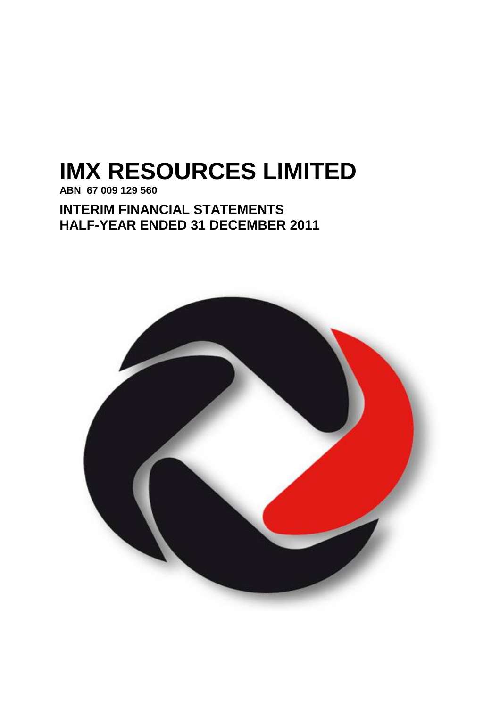# **IMX RESOURCES LIMITED**

**ABN 67 009 129 560**

**INTERIM FINANCIAL STATEMENTS HALF-YEAR ENDED 31 DECEMBER 2011**

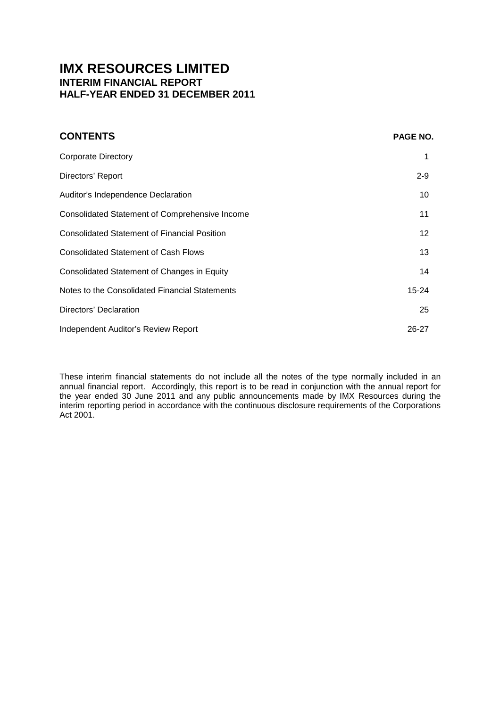# **IMX RESOURCES LIMITED INTERIM FINANCIAL REPORT HALF-YEAR ENDED 31 DECEMBER 2011**

| <b>CONTENTS</b>                                     | PAGE NO.  |
|-----------------------------------------------------|-----------|
| <b>Corporate Directory</b>                          |           |
| Directors' Report                                   | $2 - 9$   |
| Auditor's Independence Declaration                  | 10        |
| Consolidated Statement of Comprehensive Income      | 11        |
| <b>Consolidated Statement of Financial Position</b> | 12        |
| <b>Consolidated Statement of Cash Flows</b>         | 13        |
| Consolidated Statement of Changes in Equity         | 14        |
| Notes to the Consolidated Financial Statements      | $15 - 24$ |
| Directors' Declaration                              | 25        |
| Independent Auditor's Review Report                 | $26 - 27$ |

These interim financial statements do not include all the notes of the type normally included in an annual financial report. Accordingly, this report is to be read in conjunction with the annual report for the year ended 30 June 2011 and any public announcements made by IMX Resources during the interim reporting period in accordance with the continuous disclosure requirements of the Corporations Act 2001.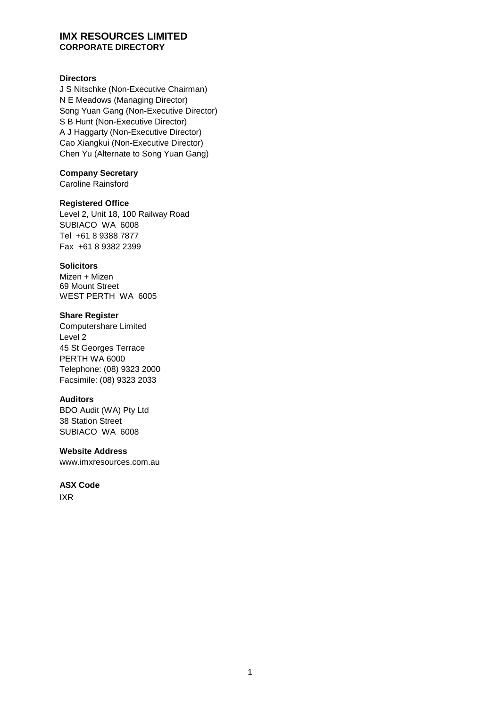#### **IMX RESOURCES LIMITED CORPORATE DIRECTORY**

#### **Directors**

J S Nitschke (Non-Executive Chairman) N E Meadows (Managing Director) Song Yuan Gang (Non-Executive Director) S B Hunt (Non-Executive Director) A J Haggarty (Non-Executive Director) Cao Xiangkui (Non-Executive Director) Chen Yu (Alternate to Song Yuan Gang)

#### **Company Secretary**

Caroline Rainsford

## **Registered Office**

Level 2, Unit 18, 100 Railway Road SUBIACO WA 6008 Tel +61 8 9388 7877 Fax +61 8 9382 2399

#### **Solicitors**

Mizen + Mizen 69 Mount Street WEST PERTH WA 6005

#### **Share Register**

Computershare Limited Level 2 45 St Georges Terrace PERTH WA 6000 Telephone: (08) 9323 2000 Facsimile: (08) 9323 2033

#### **Auditors**

BDO Audit (WA) Pty Ltd 38 Station Street SUBIACO WA 6008

#### **Website Address**

www.imxresources.com.au

#### **ASX Code**

IXR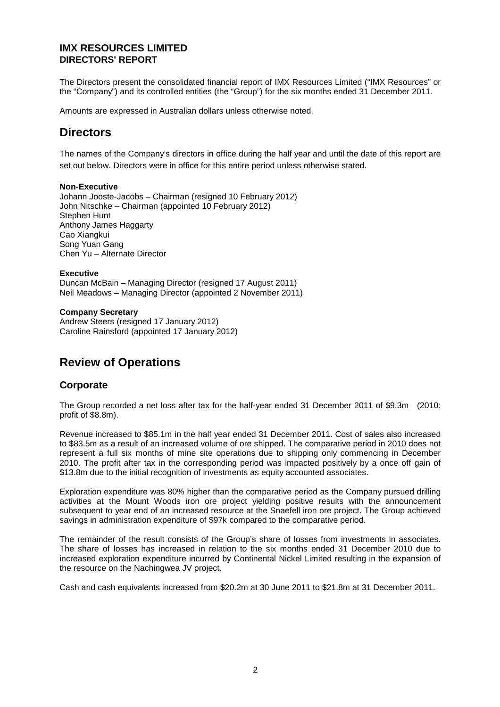The Directors present the consolidated financial report of IMX Resources Limited ("IMX Resources" or the "Company") and its controlled entities (the "Group") for the six months ended 31 December 2011.

Amounts are expressed in Australian dollars unless otherwise noted.

# **Directors**

The names of the Company's directors in office during the half year and until the date of this report are set out below. Directors were in office for this entire period unless otherwise stated.

#### **Non-Executive**

Johann Jooste-Jacobs – Chairman (resigned 10 February 2012) John Nitschke – Chairman (appointed 10 February 2012) Stephen Hunt Anthony James Haggarty Cao Xiangkui Song Yuan Gang Chen Yu – Alternate Director

**Executive** Duncan McBain – Managing Director (resigned 17 August 2011) Neil Meadows – Managing Director (appointed 2 November 2011)

**Company Secretary** Andrew Steers (resigned 17 January 2012) Caroline Rainsford (appointed 17 January 2012)

# **Review of Operations**

## **Corporate**

The Group recorded a net loss after tax for the half-year ended 31 December 2011 of \$9.3m (2010: profit of \$8.8m).

Revenue increased to \$85.1m in the half year ended 31 December 2011. Cost of sales also increased to \$83.5m as a result of an increased volume of ore shipped. The comparative period in 2010 does not represent a full six months of mine site operations due to shipping only commencing in December 2010. The profit after tax in the corresponding period was impacted positively by a once off gain of \$13.8m due to the initial recognition of investments as equity accounted associates.

Exploration expenditure was 80% higher than the comparative period as the Company pursued drilling activities at the Mount Woods iron ore project yielding positive results with the announcement subsequent to year end of an increased resource at the Snaefell iron ore project. The Group achieved savings in administration expenditure of \$97k compared to the comparative period.

The remainder of the result consists of the Group's share of losses from investments in associates. The share of losses has increased in relation to the six months ended 31 December 2010 due to increased exploration expenditure incurred by Continental Nickel Limited resulting in the expansion of the resource on the Nachingwea JV project.

Cash and cash equivalents increased from \$20.2m at 30 June 2011 to \$21.8m at 31 December 2011.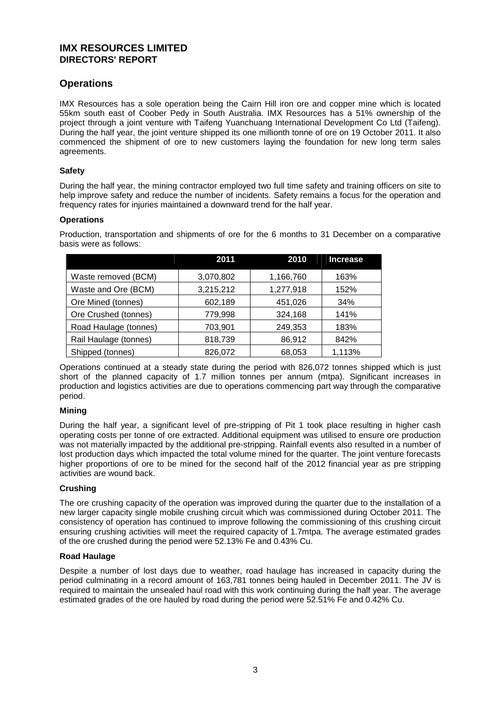## **Operations**

IMX Resources has a sole operation being the Cairn Hill iron ore and copper mine which is located 55km south east of Coober Pedy in South Australia. IMX Resources has a 51% ownership of the project through a joint venture with Taifeng Yuanchuang International Development Co Ltd (Taifeng). During the half year, the joint venture shipped its one millionth tonne of ore on 19 October 2011. It also commenced the shipment of ore to new customers laying the foundation for new long term sales agreements.

#### **Safety**

During the half year, the mining contractor employed two full time safety and training officers on site to help improve safety and reduce the number of incidents. Safety remains a focus for the operation and frequency rates for injuries maintained a downward trend for the half year.

#### **Operations**

Production, transportation and shipments of ore for the 6 months to 31 December on a comparative basis were as follows:

|                       | 2011      | 2010      | <b>Increase</b> |
|-----------------------|-----------|-----------|-----------------|
| Waste removed (BCM)   | 3,070,802 | 1,166,760 | 163%            |
| Waste and Ore (BCM)   | 3,215,212 | 1,277,918 | 152%            |
| Ore Mined (tonnes)    | 602,189   | 451,026   | 34%             |
| Ore Crushed (tonnes)  | 779,998   | 324,168   | 141%            |
| Road Haulage (tonnes) | 703,901   | 249,353   | 183%            |
| Rail Haulage (tonnes) | 818,739   | 86,912    | 842%            |
| Shipped (tonnes)      | 826,072   | 68,053    | 1,113%          |

Operations continued at a steady state during the period with 826,072 tonnes shipped which is just short of the planned capacity of 1.7 million tonnes per annum (mtpa). Significant increases in production and logistics activities are due to operations commencing part way through the comparative period.

#### **Mining**

During the half year, a significant level of pre-stripping of Pit 1 took place resulting in higher cash operating costs per tonne of ore extracted. Additional equipment was utilised to ensure ore production was not materially impacted by the additional pre-stripping. Rainfall events also resulted in a number of lost production days which impacted the total volume mined for the quarter. The joint venture forecasts higher proportions of ore to be mined for the second half of the 2012 financial year as pre stripping activities are wound back.

#### **Crushing**

The ore crushing capacity of the operation was improved during the quarter due to the installation of a new larger capacity single mobile crushing circuit which was commissioned during October 2011. The consistency of operation has continued to improve following the commissioning of this crushing circuit ensuring crushing activities will meet the required capacity of 1.7mtpa. The average estimated grades of the ore crushed during the period were 52.13% Fe and 0.43% Cu.

#### **Road Haulage**

Despite a number of lost days due to weather, road haulage has increased in capacity during the period culminating in a record amount of 163,781 tonnes being hauled in December 2011. The JV is required to maintain the unsealed haul road with this work continuing during the half year. The average estimated grades of the ore hauled by road during the period were 52.51% Fe and 0.42% Cu.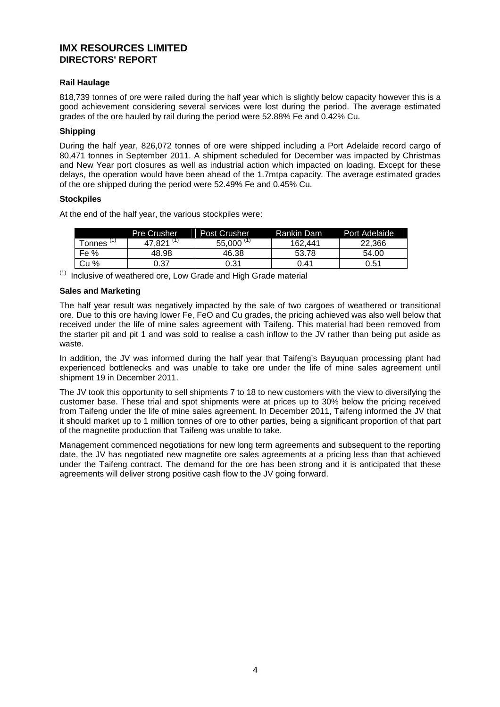#### **Rail Haulage**

818,739 tonnes of ore were railed during the half year which is slightly below capacity however this is a good achievement considering several services were lost during the period. The average estimated grades of the ore hauled by rail during the period were 52.88% Fe and 0.42% Cu.

#### **Shipping**

During the half year, 826,072 tonnes of ore were shipped including a Port Adelaide record cargo of 80,471 tonnes in September 2011. A shipment scheduled for December was impacted by Christmas and New Year port closures as well as industrial action which impacted on loading. Except for these delays, the operation would have been ahead of the 1.7mtpa capacity. The average estimated grades of the ore shipped during the period were 52.49% Fe and 0.45% Cu.

#### **Stockpiles**

At the end of the half year, the various stockpiles were:

|        | <b>Pre Crusher</b> | <b>Post Crusher</b> | Rankin Dam | Port Adelaide |
|--------|--------------------|---------------------|------------|---------------|
| Tonnes | - (1)<br>821       | $55.000$ (1)        | 162.441    | 22.366        |
| Fe %   | 48.98              | 46.38               | 53.78      | 54.00         |
| Cu %   | 0.37               | 0.31                | 0.41       | 0.51          |

 $(1)$  Inclusive of weathered ore, Low Grade and High Grade material

#### **Sales and Marketing**

The half year result was negatively impacted by the sale of two cargoes of weathered or transitional ore. Due to this ore having lower Fe, FeO and Cu grades, the pricing achieved was also well below that received under the life of mine sales agreement with Taifeng. This material had been removed from the starter pit and pit 1 and was sold to realise a cash inflow to the JV rather than being put aside as waste.

In addition, the JV was informed during the half year that Taifeng's Bayuquan processing plant had experienced bottlenecks and was unable to take ore under the life of mine sales agreement until shipment 19 in December 2011.

The JV took this opportunity to sell shipments 7 to 18 to new customers with the view to diversifying the customer base. These trial and spot shipments were at prices up to 30% below the pricing received from Taifeng under the life of mine sales agreement. In December 2011, Taifeng informed the JV that it should market up to 1 million tonnes of ore to other parties, being a significant proportion of that part of the magnetite production that Taifeng was unable to take.

Management commenced negotiations for new long term agreements and subsequent to the reporting date, the JV has negotiated new magnetite ore sales agreements at a pricing less than that achieved under the Taifeng contract. The demand for the ore has been strong and it is anticipated that these agreements will deliver strong positive cash flow to the JV going forward.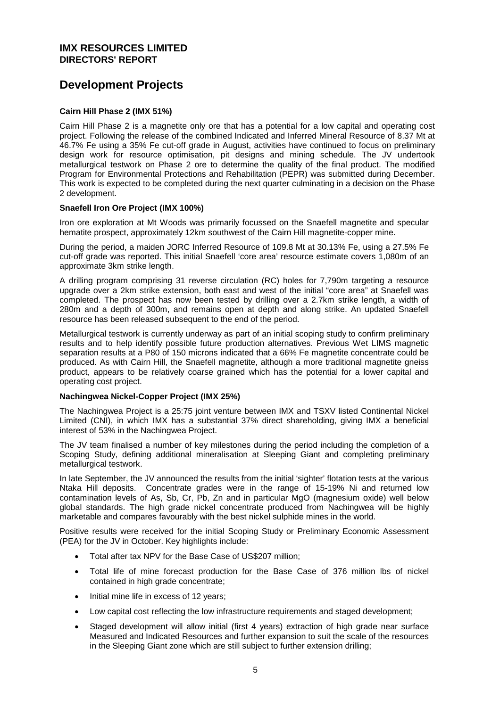# **Development Projects**

#### **Cairn Hill Phase 2 (IMX 51%)**

Cairn Hill Phase 2 is a magnetite only ore that has a potential for a low capital and operating cost project. Following the release of the combined Indicated and Inferred Mineral Resource of 8.37 Mt at 46.7% Fe using a 35% Fe cut-off grade in August, activities have continued to focus on preliminary design work for resource optimisation, pit designs and mining schedule. The JV undertook metallurgical testwork on Phase 2 ore to determine the quality of the final product. The modified Program for Environmental Protections and Rehabilitation (PEPR) was submitted during December. This work is expected to be completed during the next quarter culminating in a decision on the Phase 2 development.

#### **Snaefell Iron Ore Project (IMX 100%)**

Iron ore exploration at Mt Woods was primarily focussed on the Snaefell magnetite and specular hematite prospect, approximately 12km southwest of the Cairn Hill magnetite-copper mine.

During the period, a maiden JORC Inferred Resource of 109.8 Mt at 30.13% Fe, using a 27.5% Fe cut-off grade was reported. This initial Snaefell 'core area' resource estimate covers 1,080m of an approximate 3km strike length.

A drilling program comprising 31 reverse circulation (RC) holes for 7,790m targeting a resource upgrade over a 2km strike extension, both east and west of the initial "core area" at Snaefell was completed. The prospect has now been tested by drilling over a 2.7km strike length, a width of 280m and a depth of 300m, and remains open at depth and along strike. An updated Snaefell resource has been released subsequent to the end of the period.

Metallurgical testwork is currently underway as part of an initial scoping study to confirm preliminary results and to help identify possible future production alternatives. Previous Wet LIMS magnetic separation results at a P80 of 150 microns indicated that a 66% Fe magnetite concentrate could be produced. As with Cairn Hill, the Snaefell magnetite, although a more traditional magnetite gneiss product, appears to be relatively coarse grained which has the potential for a lower capital and operating cost project.

#### **Nachingwea Nickel-Copper Project (IMX 25%)**

The Nachingwea Project is a 25:75 joint venture between IMX and TSXV listed Continental Nickel Limited (CNI), in which IMX has a substantial 37% direct shareholding, giving IMX a beneficial interest of 53% in the Nachingwea Project.

The JV team finalised a number of key milestones during the period including the completion of a Scoping Study, defining additional mineralisation at Sleeping Giant and completing preliminary metallurgical testwork.

In late September, the JV announced the results from the initial 'sighter' flotation tests at the various Ntaka Hill deposits. Concentrate grades were in the range of 15-19% Ni and returned low contamination levels of As, Sb, Cr, Pb, Zn and in particular MgO (magnesium oxide) well below global standards. The high grade nickel concentrate produced from Nachingwea will be highly marketable and compares favourably with the best nickel sulphide mines in the world.

Positive results were received for the initial Scoping Study or Preliminary Economic Assessment (PEA) for the JV in October. Key highlights include:

- Total after tax NPV for the Base Case of US\$207 million;
- Total life of mine forecast production for the Base Case of 376 million lbs of nickel contained in high grade concentrate;
- Initial mine life in excess of 12 years;
- Low capital cost reflecting the low infrastructure requirements and staged development;
- Staged development will allow initial (first 4 years) extraction of high grade near surface Measured and Indicated Resources and further expansion to suit the scale of the resources in the Sleeping Giant zone which are still subject to further extension drilling;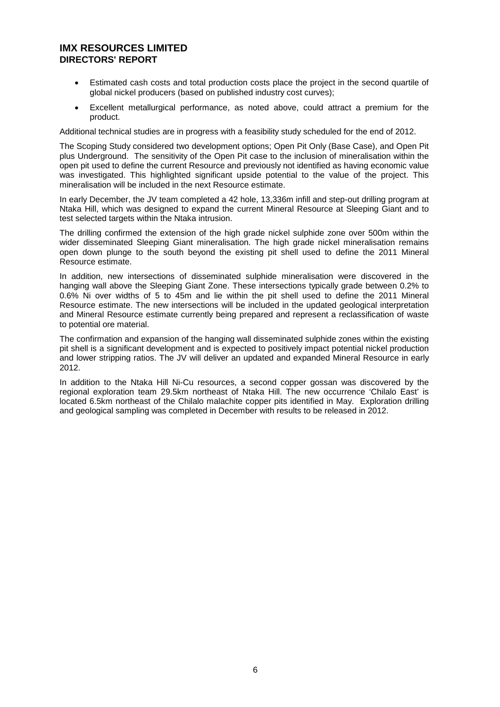- Estimated cash costs and total production costs place the project in the second quartile of global nickel producers (based on published industry cost curves);
- Excellent metallurgical performance, as noted above, could attract a premium for the product.

Additional technical studies are in progress with a feasibility study scheduled for the end of 2012.

The Scoping Study considered two development options; Open Pit Only (Base Case), and Open Pit plus Underground. The sensitivity of the Open Pit case to the inclusion of mineralisation within the open pit used to define the current Resource and previously not identified as having economic value was investigated. This highlighted significant upside potential to the value of the project. This mineralisation will be included in the next Resource estimate.

In early December, the JV team completed a 42 hole, 13,336m infill and step-out drilling program at Ntaka Hill, which was designed to expand the current Mineral Resource at Sleeping Giant and to test selected targets within the Ntaka intrusion.

The drilling confirmed the extension of the high grade nickel sulphide zone over 500m within the wider disseminated Sleeping Giant mineralisation. The high grade nickel mineralisation remains open down plunge to the south beyond the existing pit shell used to define the 2011 Mineral Resource estimate.

In addition, new intersections of disseminated sulphide mineralisation were discovered in the hanging wall above the Sleeping Giant Zone. These intersections typically grade between 0.2% to 0.6% Ni over widths of 5 to 45m and lie within the pit shell used to define the 2011 Mineral Resource estimate. The new intersections will be included in the updated geological interpretation and Mineral Resource estimate currently being prepared and represent a reclassification of waste to potential ore material.

The confirmation and expansion of the hanging wall disseminated sulphide zones within the existing pit shell is a significant development and is expected to positively impact potential nickel production and lower stripping ratios. The JV will deliver an updated and expanded Mineral Resource in early 2012.

In addition to the Ntaka Hill Ni-Cu resources, a second copper gossan was discovered by the regional exploration team 29.5km northeast of Ntaka Hill. The new occurrence 'Chilalo East' is located 6.5km northeast of the Chilalo malachite copper pits identified in May. Exploration drilling and geological sampling was completed in December with results to be released in 2012.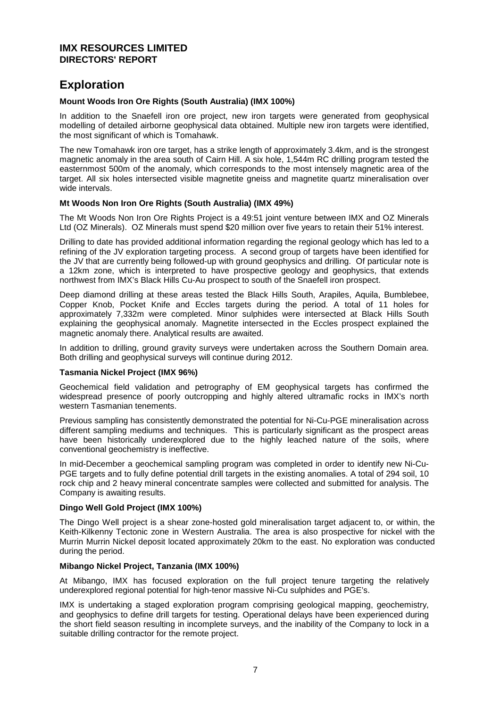# **Exploration**

#### **Mount Woods Iron Ore Rights (South Australia) (IMX 100%)**

In addition to the Snaefell iron ore project, new iron targets were generated from geophysical modelling of detailed airborne geophysical data obtained. Multiple new iron targets were identified, the most significant of which is Tomahawk.

The new Tomahawk iron ore target, has a strike length of approximately 3.4km, and is the strongest magnetic anomaly in the area south of Cairn Hill. A six hole, 1,544m RC drilling program tested the easternmost 500m of the anomaly, which corresponds to the most intensely magnetic area of the target. All six holes intersected visible magnetite gneiss and magnetite quartz mineralisation over wide intervals.

#### **Mt Woods Non Iron Ore Rights (South Australia) (IMX 49%)**

The Mt Woods Non Iron Ore Rights Project is a 49:51 joint venture between IMX and OZ Minerals Ltd (OZ Minerals). OZ Minerals must spend \$20 million over five years to retain their 51% interest.

Drilling to date has provided additional information regarding the regional geology which has led to a refining of the JV exploration targeting process. A second group of targets have been identified for the JV that are currently being followed-up with ground geophysics and drilling. Of particular note is a 12km zone, which is interpreted to have prospective geology and geophysics, that extends northwest from IMX's Black Hills Cu-Au prospect to south of the Snaefell iron prospect.

Deep diamond drilling at these areas tested the Black Hills South, Arapiles, Aquila, Bumblebee, Copper Knob, Pocket Knife and Eccles targets during the period. A total of 11 holes for approximately 7,332m were completed. Minor sulphides were intersected at Black Hills South explaining the geophysical anomaly. Magnetite intersected in the Eccles prospect explained the magnetic anomaly there. Analytical results are awaited.

In addition to drilling, ground gravity surveys were undertaken across the Southern Domain area. Both drilling and geophysical surveys will continue during 2012.

#### **Tasmania Nickel Project (IMX 96%)**

Geochemical field validation and petrography of EM geophysical targets has confirmed the widespread presence of poorly outcropping and highly altered ultramafic rocks in IMX's north western Tasmanian tenements.

Previous sampling has consistently demonstrated the potential for Ni-Cu-PGE mineralisation across different sampling mediums and techniques. This is particularly significant as the prospect areas have been historically underexplored due to the highly leached nature of the soils, where conventional geochemistry is ineffective.

In mid-December a geochemical sampling program was completed in order to identify new Ni-Cu-PGE targets and to fully define potential drill targets in the existing anomalies. A total of 294 soil, 10 rock chip and 2 heavy mineral concentrate samples were collected and submitted for analysis. The Company is awaiting results.

#### **Dingo Well Gold Project (IMX 100%)**

The Dingo Well project is a shear zone-hosted gold mineralisation target adjacent to, or within, the Keith-Kilkenny Tectonic zone in Western Australia. The area is also prospective for nickel with the Murrin Murrin Nickel deposit located approximately 20km to the east. No exploration was conducted during the period.

#### **Mibango Nickel Project, Tanzania (IMX 100%)**

At Mibango, IMX has focused exploration on the full project tenure targeting the relatively underexplored regional potential for high-tenor massive Ni-Cu sulphides and PGE's.

IMX is undertaking a staged exploration program comprising geological mapping, geochemistry, and geophysics to define drill targets for testing. Operational delays have been experienced during the short field season resulting in incomplete surveys, and the inability of the Company to lock in a suitable drilling contractor for the remote project.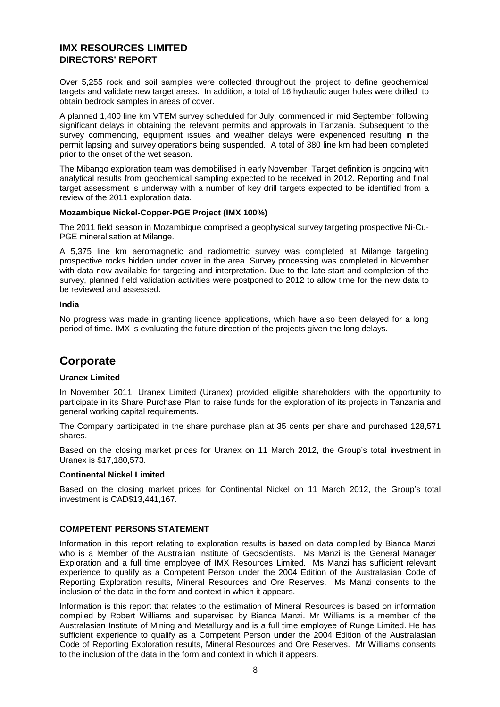Over 5,255 rock and soil samples were collected throughout the project to define geochemical targets and validate new target areas. In addition, a total of 16 hydraulic auger holes were drilled to obtain bedrock samples in areas of cover.

A planned 1,400 line km VTEM survey scheduled for July, commenced in mid September following significant delays in obtaining the relevant permits and approvals in Tanzania. Subsequent to the survey commencing, equipment issues and weather delays were experienced resulting in the permit lapsing and survey operations being suspended. A total of 380 line km had been completed prior to the onset of the wet season.

The Mibango exploration team was demobilised in early November. Target definition is ongoing with analytical results from geochemical sampling expected to be received in 2012. Reporting and final target assessment is underway with a number of key drill targets expected to be identified from a review of the 2011 exploration data.

#### **Mozambique Nickel-Copper-PGE Project (IMX 100%)**

The 2011 field season in Mozambique comprised a geophysical survey targeting prospective Ni-Cu-PGE mineralisation at Milange.

A 5,375 line km aeromagnetic and radiometric survey was completed at Milange targeting prospective rocks hidden under cover in the area. Survey processing was completed in November with data now available for targeting and interpretation. Due to the late start and completion of the survey, planned field validation activities were postponed to 2012 to allow time for the new data to be reviewed and assessed.

#### **India**

No progress was made in granting licence applications, which have also been delayed for a long period of time. IMX is evaluating the future direction of the projects given the long delays.

# **Corporate**

#### **Uranex Limited**

In November 2011, Uranex Limited (Uranex) provided eligible shareholders with the opportunity to participate in its Share Purchase Plan to raise funds for the exploration of its projects in Tanzania and general working capital requirements.

The Company participated in the share purchase plan at 35 cents per share and purchased 128,571 shares.

Based on the closing market prices for Uranex on 11 March 2012, the Group's total investment in Uranex is \$17,180,573.

#### **Continental Nickel Limited**

Based on the closing market prices for Continental Nickel on 11 March 2012, the Group's total investment is CAD\$13,441,167.

#### **COMPETENT PERSONS STATEMENT**

Information in this report relating to exploration results is based on data compiled by Bianca Manzi who is a Member of the Australian Institute of Geoscientists. Ms Manzi is the General Manager Exploration and a full time employee of IMX Resources Limited. Ms Manzi has sufficient relevant experience to qualify as a Competent Person under the 2004 Edition of the Australasian Code of Reporting Exploration results, Mineral Resources and Ore Reserves. Ms Manzi consents to the inclusion of the data in the form and context in which it appears.

Information is this report that relates to the estimation of Mineral Resources is based on information compiled by Robert Williams and supervised by Bianca Manzi. Mr Williams is a member of the Australasian Institute of Mining and Metallurgy and is a full time employee of Runge Limited. He has sufficient experience to qualify as a Competent Person under the 2004 Edition of the Australasian Code of Reporting Exploration results, Mineral Resources and Ore Reserves. Mr Williams consents to the inclusion of the data in the form and context in which it appears.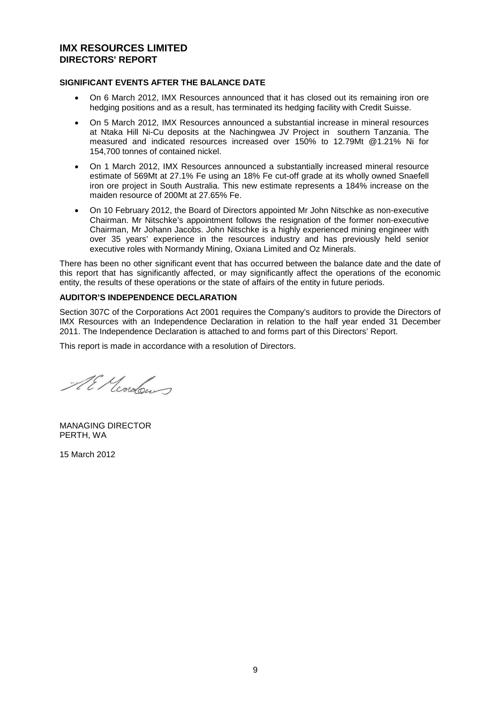#### **SIGNIFICANT EVENTS AFTER THE BALANCE DATE**

- On 6 March 2012, IMX Resources announced that it has closed out its remaining iron ore hedging positions and as a result, has terminated its hedging facility with Credit Suisse.
- On 5 March 2012, IMX Resources announced a substantial increase in mineral resources at Ntaka Hill Ni-Cu deposits at the Nachingwea JV Project in southern Tanzania. The measured and indicated resources increased over 150% to 12.79Mt @1.21% Ni for 154,700 tonnes of contained nickel.
- On 1 March 2012, IMX Resources announced a substantially increased mineral resource estimate of 569Mt at 27.1% Fe using an 18% Fe cut-off grade at its wholly owned Snaefell iron ore project in South Australia. This new estimate represents a 184% increase on the maiden resource of 200Mt at 27.65% Fe.
- On 10 February 2012, the Board of Directors appointed Mr John Nitschke as non-executive Chairman. Mr Nitschke's appointment follows the resignation of the former non-executive Chairman, Mr Johann Jacobs. John Nitschke is a highly experienced mining engineer with over 35 years' experience in the resources industry and has previously held senior executive roles with Normandy Mining, Oxiana Limited and Oz Minerals.

There has been no other significant event that has occurred between the balance date and the date of this report that has significantly affected, or may significantly affect the operations of the economic entity, the results of these operations or the state of affairs of the entity in future periods.

#### **AUDITOR'S INDEPENDENCE DECLARATION**

Section 307C of the Corporations Act 2001 requires the Company's auditors to provide the Directors of IMX Resources with an Independence Declaration in relation to the half year ended 31 December 2011. The Independence Declaration is attached to and forms part of this Directors' Report.

This report is made in accordance with a resolution of Directors.

Al Meridour

MANAGING DIRECTOR PERTH, WA

15 March 2012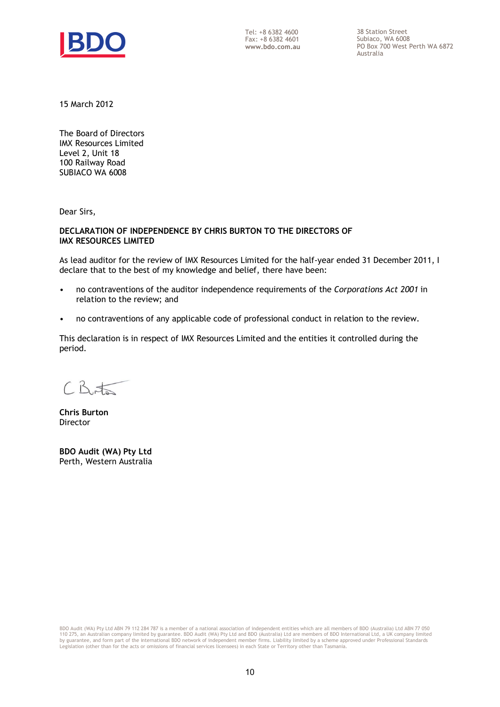

Tel: +8 6382 4600 Fax: +8 6382 4601 **www.bdo.com.au**  38 Station Street Subiaco, WA 6008 PO Box 700 West Perth WA 6872 Australia

15 March 2012

The Board of Directors IMX Resources Limited Level 2, Unit 18 100 Railway Road SUBIACO WA 6008

Dear Sirs,

#### **DECLARATION OF INDEPENDENCE BY CHRIS BURTON TO THE DIRECTORS OF IMX RESOURCES LIMITED**

As lead auditor for the review of IMX Resources Limited for the half-year ended 31 December 2011, I declare that to the best of my knowledge and belief, there have been:

- no contraventions of the auditor independence requirements of the *Corporations Act 2001* in relation to the review; and
- no contraventions of any applicable code of professional conduct in relation to the review.

This declaration is in respect of IMX Resources Limited and the entities it controlled during the period.

 $CB$ 

**Chris Burton Director** 

**BDO Audit (WA) Pty Ltd** Perth, Western Australia

BDO Audit (WA) Pty Ltd ABN 79 112 284 787 is a member of a national association of independent entities which are all members of BDO (Australia) Ltd ABN 77 050 110 275, an Australian company limited by guarantee. BDO Audit (WA) Pty Ltd and BDO (Australia) Ltd are members of BDO International Ltd, a UK company limited<br>by guarantee, and form part of the international BDO network of Legislation (other than for the acts or omissions of financial services licensees) in each State or Territory other than Tasmania.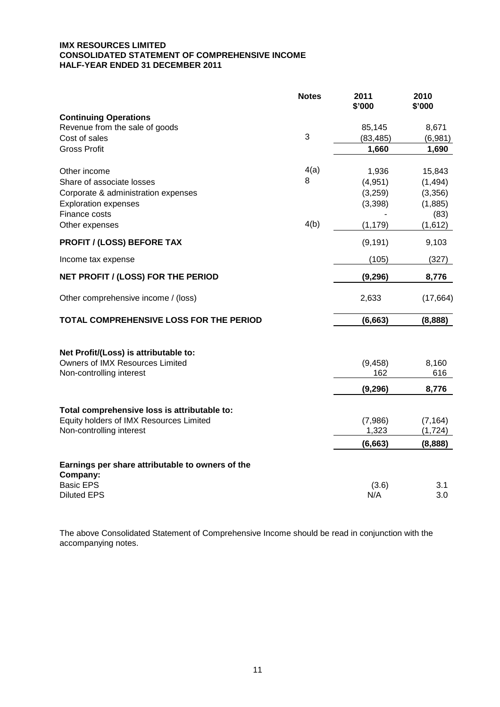#### **IMX RESOURCES LIMITED CONSOLIDATED STATEMENT OF COMPREHENSIVE INCOME HALF-YEAR ENDED 31 DECEMBER 2011**

|                                                  | <b>Notes</b> | 2011<br>\$'000 | 2010<br>\$'000 |
|--------------------------------------------------|--------------|----------------|----------------|
| <b>Continuing Operations</b>                     |              |                |                |
| Revenue from the sale of goods                   |              | 85,145         | 8,671          |
| Cost of sales                                    | 3            | (83, 485)      | (6,981)        |
| <b>Gross Profit</b>                              |              | 1,660          | 1,690          |
| Other income                                     | 4(a)         | 1,936          | 15,843         |
| Share of associate losses                        | 8            | (4,951)        | (1, 494)       |
| Corporate & administration expenses              |              | (3,259)        | (3,356)        |
| <b>Exploration expenses</b>                      |              | (3,398)        | (1,885)        |
| Finance costs                                    |              |                | (83)           |
| Other expenses                                   | 4(b)         | (1, 179)       | (1,612)        |
| <b>PROFIT / (LOSS) BEFORE TAX</b>                |              | (9, 191)       | 9,103          |
| Income tax expense                               |              | (105)          | (327)          |
| NET PROFIT / (LOSS) FOR THE PERIOD               |              | (9, 296)       | 8,776          |
| Other comprehensive income / (loss)              |              | 2,633          | (17, 664)      |
| TOTAL COMPREHENSIVE LOSS FOR THE PERIOD          |              | (6, 663)       | (8,888)        |
| Net Profit/(Loss) is attributable to:            |              |                |                |
| Owners of IMX Resources Limited                  |              | (9, 458)       | 8,160          |
| Non-controlling interest                         |              | 162            | 616            |
|                                                  |              | (9, 296)       | 8,776          |
| Total comprehensive loss is attributable to:     |              |                |                |
| Equity holders of IMX Resources Limited          |              | (7,986)        | (7, 164)       |
| Non-controlling interest                         |              | 1,323          | (1, 724)       |
|                                                  |              | (6, 663)       | (8,888)        |
| Earnings per share attributable to owners of the |              |                |                |
| Company:                                         |              |                |                |
| <b>Basic EPS</b>                                 |              | (3.6)          | 3.1            |
| <b>Diluted EPS</b>                               |              | N/A            | 3.0            |

The above Consolidated Statement of Comprehensive Income should be read in conjunction with the accompanying notes.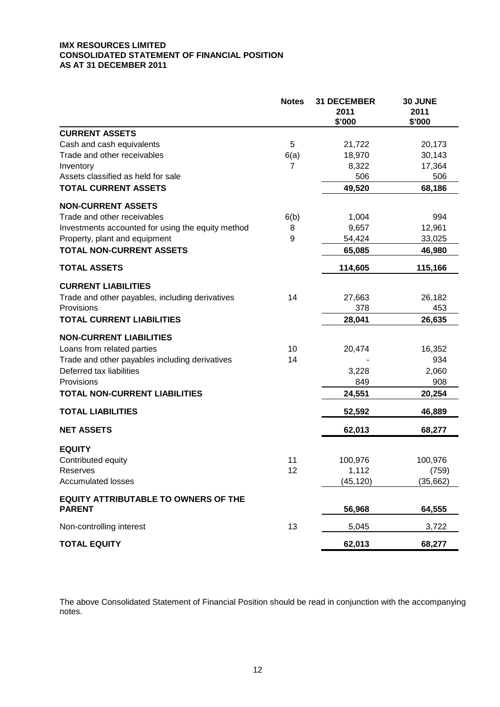#### **IMX RESOURCES LIMITED CONSOLIDATED STATEMENT OF FINANCIAL POSITION AS AT 31 DECEMBER 2011**

|                                                              | <b>Notes</b>   | <b>31 DECEMBER</b><br>2011<br>\$'000 | 30 JUNE<br>2011<br>\$'000 |
|--------------------------------------------------------------|----------------|--------------------------------------|---------------------------|
| <b>CURRENT ASSETS</b>                                        |                |                                      |                           |
| Cash and cash equivalents                                    | 5              | 21,722                               | 20,173                    |
| Trade and other receivables                                  | 6(a)           | 18,970                               | 30,143                    |
| Inventory                                                    | $\overline{7}$ | 8,322                                | 17,364                    |
| Assets classified as held for sale                           |                | 506                                  | 506                       |
| <b>TOTAL CURRENT ASSETS</b>                                  |                | 49,520                               | 68,186                    |
| <b>NON-CURRENT ASSETS</b>                                    |                |                                      |                           |
| Trade and other receivables                                  | 6(b)           | 1,004                                | 994                       |
| Investments accounted for using the equity method            | 8              | 9,657                                | 12,961                    |
| Property, plant and equipment                                | 9              | 54,424                               | 33,025                    |
| <b>TOTAL NON-CURRENT ASSETS</b>                              |                | 65,085                               | 46,980                    |
| <b>TOTAL ASSETS</b>                                          |                | 114,605                              | 115,166                   |
| <b>CURRENT LIABILITIES</b>                                   |                |                                      |                           |
| Trade and other payables, including derivatives              | 14             | 27,663                               | 26,182                    |
| Provisions                                                   |                | 378                                  | 453                       |
| <b>TOTAL CURRENT LIABILITIES</b>                             |                | 28,041                               | 26,635                    |
| <b>NON-CURRENT LIABILITIES</b>                               |                |                                      |                           |
| Loans from related parties                                   | 10             | 20,474                               | 16,352                    |
| Trade and other payables including derivatives               | 14             |                                      | 934                       |
| Deferred tax liabilities                                     |                | 3,228                                | 2,060                     |
| Provisions                                                   |                | 849                                  | 908                       |
| <b>TOTAL NON-CURRENT LIABILITIES</b>                         |                | 24,551                               | 20,254                    |
| <b>TOTAL LIABILITIES</b>                                     |                | 52,592                               | 46,889                    |
| <b>NET ASSETS</b>                                            |                | 62,013                               | 68,277                    |
| <b>EQUITY</b>                                                |                |                                      |                           |
| Contributed equity                                           | 11             | 100,976                              | 100,976                   |
| Reserves                                                     | 12             | 1,112                                | (759)                     |
| <b>Accumulated losses</b>                                    |                | (45, 120)                            | (35,662)                  |
| <b>EQUITY ATTRIBUTABLE TO OWNERS OF THE</b><br><b>PARENT</b> |                | 56,968                               | 64,555                    |
|                                                              |                |                                      |                           |
| Non-controlling interest                                     | 13             | 5,045                                | 3,722                     |
| <b>TOTAL EQUITY</b>                                          |                | 62,013                               | 68,277                    |

The above Consolidated Statement of Financial Position should be read in conjunction with the accompanying notes.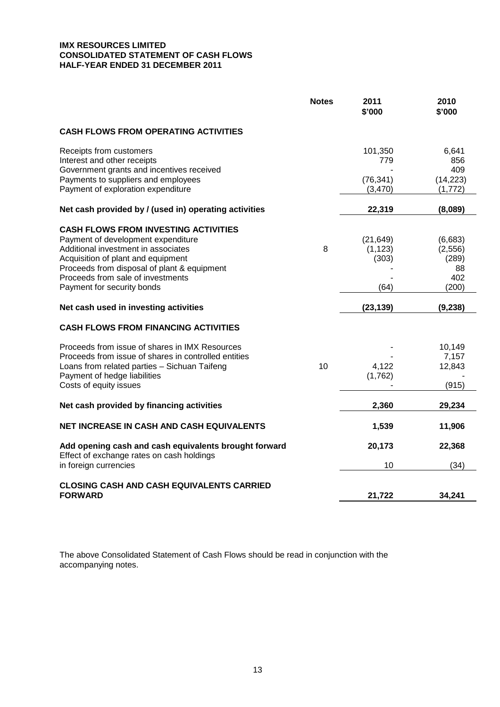#### **IMX RESOURCES LIMITED CONSOLIDATED STATEMENT OF CASH FLOWS HALF-YEAR ENDED 31 DECEMBER 2011**

|                                                                                                                                                                                                                                                                                  | <b>Notes</b> | 2011<br>\$'000                         | 2010<br>\$'000                                    |
|----------------------------------------------------------------------------------------------------------------------------------------------------------------------------------------------------------------------------------------------------------------------------------|--------------|----------------------------------------|---------------------------------------------------|
| <b>CASH FLOWS FROM OPERATING ACTIVITIES</b>                                                                                                                                                                                                                                      |              |                                        |                                                   |
| Receipts from customers<br>Interest and other receipts<br>Government grants and incentives received<br>Payments to suppliers and employees<br>Payment of exploration expenditure                                                                                                 |              | 101,350<br>779<br>(76, 341)<br>(3,470) | 6,641<br>856<br>409<br>(14, 223)<br>(1,772)       |
| Net cash provided by / (used in) operating activities                                                                                                                                                                                                                            |              | 22,319                                 | (8,089)                                           |
| <b>CASH FLOWS FROM INVESTING ACTIVITIES</b><br>Payment of development expenditure<br>Additional investment in associates<br>Acquisition of plant and equipment<br>Proceeds from disposal of plant & equipment<br>Proceeds from sale of investments<br>Payment for security bonds | 8            | (21, 649)<br>(1, 123)<br>(303)<br>(64) | (6,683)<br>(2,556)<br>(289)<br>88<br>402<br>(200) |
| Net cash used in investing activities                                                                                                                                                                                                                                            |              | (23, 139)                              | (9, 238)                                          |
| <b>CASH FLOWS FROM FINANCING ACTIVITIES</b>                                                                                                                                                                                                                                      |              |                                        |                                                   |
| Proceeds from issue of shares in IMX Resources<br>Proceeds from issue of shares in controlled entities<br>Loans from related parties - Sichuan Taifeng<br>Payment of hedge liabilities<br>Costs of equity issues                                                                 | 10           | 4,122<br>(1,762)                       | 10,149<br>7,157<br>12,843<br>(915)                |
| Net cash provided by financing activities                                                                                                                                                                                                                                        |              | 2,360                                  | 29,234                                            |
| NET INCREASE IN CASH AND CASH EQUIVALENTS                                                                                                                                                                                                                                        |              | 1,539                                  | 11,906                                            |
| Add opening cash and cash equivalents brought forward<br>Effect of exchange rates on cash holdings<br>in foreign currencies                                                                                                                                                      |              | 20,173<br>10                           | 22,368<br>(34)                                    |
|                                                                                                                                                                                                                                                                                  |              |                                        |                                                   |
| <b>CLOSING CASH AND CASH EQUIVALENTS CARRIED</b><br><b>FORWARD</b>                                                                                                                                                                                                               |              | 21,722                                 | 34,241                                            |

The above Consolidated Statement of Cash Flows should be read in conjunction with the accompanying notes.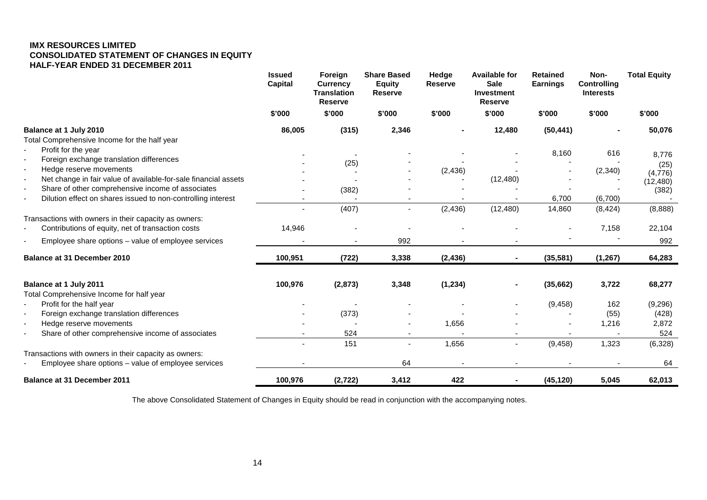#### **IMX RESOURCES LIMITED CONSOLIDATED STATEMENT OF CHANGES IN EQUITY HALF-YEAR ENDED 31 DECEMBER 2011**

|                                                                                                                                               | <b>Issued</b><br><b>Capital</b> | Foreign<br><b>Currency</b><br><b>Translation</b><br><b>Reserve</b> | <b>Share Based</b><br><b>Equity</b><br><b>Reserve</b> | Hedge<br><b>Reserve</b> | <b>Available for</b><br><b>Sale</b><br><b>Investment</b><br><b>Reserve</b> | <b>Retained</b><br><b>Earnings</b> | Non-<br><b>Controlling</b><br><b>Interests</b> | <b>Total Equity</b> |
|-----------------------------------------------------------------------------------------------------------------------------------------------|---------------------------------|--------------------------------------------------------------------|-------------------------------------------------------|-------------------------|----------------------------------------------------------------------------|------------------------------------|------------------------------------------------|---------------------|
|                                                                                                                                               | \$'000                          | \$'000                                                             | \$'000                                                | \$'000                  | \$'000                                                                     | \$'000                             | \$'000                                         | \$'000              |
| Balance at 1 July 2010                                                                                                                        | 86,005                          | (315)                                                              | 2,346                                                 |                         | 12,480                                                                     | (50, 441)                          |                                                | 50,076              |
| Total Comprehensive Income for the half year                                                                                                  |                                 |                                                                    |                                                       |                         |                                                                            |                                    |                                                |                     |
| Profit for the year<br>$\blacksquare$                                                                                                         |                                 |                                                                    |                                                       |                         |                                                                            | 8,160                              | 616                                            | 8,776               |
| Foreign exchange translation differences<br>$\blacksquare$                                                                                    |                                 | (25)                                                               |                                                       |                         |                                                                            |                                    |                                                | (25)                |
| Hedge reserve movements<br>$\overline{\phantom{a}}$                                                                                           |                                 |                                                                    |                                                       | (2, 436)                |                                                                            |                                    | (2, 340)                                       | (4,776)             |
| Net change in fair value of available-for-sale financial assets<br>$\overline{\phantom{a}}$                                                   |                                 |                                                                    |                                                       |                         | (12, 480)                                                                  |                                    |                                                | (12, 480)           |
| Share of other comprehensive income of associates<br>$\overline{\phantom{a}}$<br>Dilution effect on shares issued to non-controlling interest |                                 | (382)                                                              |                                                       |                         |                                                                            | 6,700                              | (6,700)                                        | (382)               |
|                                                                                                                                               |                                 | (407)                                                              | $\blacksquare$                                        | (2, 436)                | (12, 480)                                                                  | 14,860                             | (8, 424)                                       | (8,888)             |
| Transactions with owners in their capacity as owners:                                                                                         |                                 |                                                                    |                                                       |                         |                                                                            |                                    |                                                |                     |
| Contributions of equity, net of transaction costs                                                                                             | 14,946                          |                                                                    |                                                       |                         |                                                                            |                                    | 7,158                                          | 22,104              |
|                                                                                                                                               |                                 |                                                                    |                                                       |                         |                                                                            |                                    |                                                |                     |
| Employee share options - value of employee services                                                                                           |                                 |                                                                    | 992                                                   |                         |                                                                            |                                    |                                                | 992                 |
| Balance at 31 December 2010                                                                                                                   | 100,951                         | (722)                                                              | 3,338                                                 | (2, 436)                | $\sim$                                                                     | (35, 581)                          | (1, 267)                                       | 64,283              |
| Balance at 1 July 2011                                                                                                                        | 100,976                         | (2, 873)                                                           | 3,348                                                 | (1, 234)                |                                                                            | (35,662)                           | 3,722                                          | 68,277              |
| Total Comprehensive Income for half year                                                                                                      |                                 |                                                                    |                                                       |                         |                                                                            |                                    |                                                |                     |
| Profit for the half year<br>٠                                                                                                                 |                                 |                                                                    |                                                       |                         |                                                                            | (9, 458)                           | 162                                            | (9,296)             |
| Foreign exchange translation differences<br>$\overline{\phantom{a}}$                                                                          |                                 | (373)                                                              |                                                       |                         |                                                                            |                                    | (55)                                           | (428)               |
| Hedge reserve movements<br>$\overline{\phantom{a}}$                                                                                           |                                 |                                                                    |                                                       | 1,656                   |                                                                            |                                    | 1,216                                          | 2,872               |
| Share of other comprehensive income of associates<br>÷,                                                                                       |                                 | 524                                                                |                                                       |                         |                                                                            |                                    |                                                | 524                 |
|                                                                                                                                               |                                 | 151                                                                | $\blacksquare$                                        | 1,656                   | $\overline{\phantom{a}}$                                                   | (9, 458)                           | 1,323                                          | (6,328)             |
| Transactions with owners in their capacity as owners:                                                                                         |                                 |                                                                    |                                                       |                         |                                                                            |                                    |                                                |                     |
| Employee share options - value of employee services<br>$\overline{\phantom{0}}$                                                               |                                 |                                                                    | 64                                                    |                         |                                                                            |                                    |                                                | 64                  |
| <b>Balance at 31 December 2011</b>                                                                                                            | 100,976                         | (2, 722)                                                           | 3,412                                                 | 422                     |                                                                            | (45, 120)                          | 5,045                                          | 62,013              |

The above Consolidated Statement of Changes in Equity should be read in conjunction with the accompanying notes.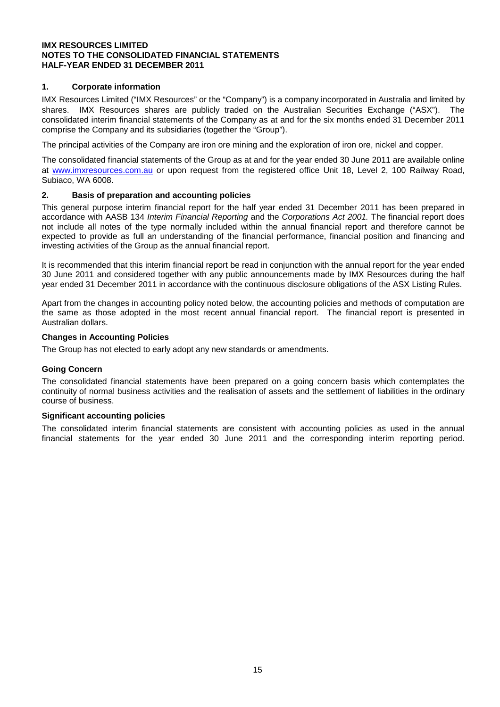#### **1. Corporate information**

IMX Resources Limited ("IMX Resources" or the "Company") is a company incorporated in Australia and limited by shares. IMX Resources shares are publicly traded on the Australian Securities Exchange ("ASX"). The consolidated interim financial statements of the Company as at and for the six months ended 31 December 2011 comprise the Company and its subsidiaries (together the "Group").

The principal activities of the Company are iron ore mining and the exploration of iron ore, nickel and copper.

The consolidated financial statements of the Group as at and for the year ended 30 June 2011 are available online at [www.imxresources.com.au](http://www.imxresources.com.au/) or upon request from the registered office Unit 18, Level 2, 100 Railway Road, Subiaco, WA 6008.

#### **2. Basis of preparation and accounting policies**

This general purpose interim financial report for the half year ended 31 December 2011 has been prepared in accordance with AASB 134 *Interim Financial Reporting* and the *Corporations Act 2001.* The financial report does not include all notes of the type normally included within the annual financial report and therefore cannot be expected to provide as full an understanding of the financial performance, financial position and financing and investing activities of the Group as the annual financial report.

It is recommended that this interim financial report be read in conjunction with the annual report for the year ended 30 June 2011 and considered together with any public announcements made by IMX Resources during the half year ended 31 December 2011 in accordance with the continuous disclosure obligations of the ASX Listing Rules.

Apart from the changes in accounting policy noted below, the accounting policies and methods of computation are the same as those adopted in the most recent annual financial report. The financial report is presented in Australian dollars.

#### **Changes in Accounting Policies**

The Group has not elected to early adopt any new standards or amendments.

#### **Going Concern**

The consolidated financial statements have been prepared on a going concern basis which contemplates the continuity of normal business activities and the realisation of assets and the settlement of liabilities in the ordinary course of business.

#### **Significant accounting policies**

The consolidated interim financial statements are consistent with accounting policies as used in the annual financial statements for the year ended 30 June 2011 and the corresponding interim reporting period.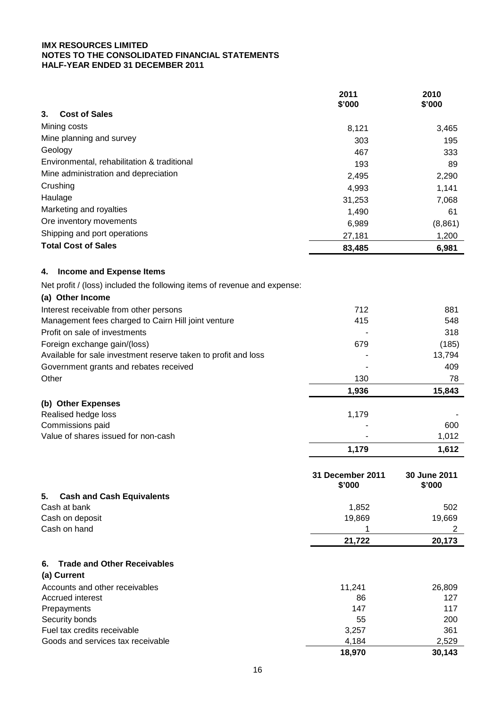|                                                                          | 2011<br>\$'000             | 2010<br>\$'000         |
|--------------------------------------------------------------------------|----------------------------|------------------------|
| 3.<br><b>Cost of Sales</b>                                               |                            |                        |
| Mining costs                                                             | 8,121                      | 3,465                  |
| Mine planning and survey                                                 | 303                        | 195                    |
| Geology                                                                  | 467                        | 333                    |
| Environmental, rehabilitation & traditional                              | 193                        | 89                     |
| Mine administration and depreciation                                     | 2,495                      | 2,290                  |
| Crushing                                                                 | 4,993                      | 1,141                  |
| Haulage                                                                  | 31,253                     | 7,068                  |
| Marketing and royalties                                                  | 1,490                      | 61                     |
| Ore inventory movements                                                  | 6,989                      | (8,861)                |
| Shipping and port operations                                             | 27,181                     | 1,200                  |
| <b>Total Cost of Sales</b>                                               | 83,485                     | 6,981                  |
| <b>Income and Expense Items</b><br>4.                                    |                            |                        |
| Net profit / (loss) included the following items of revenue and expense: |                            |                        |
| (a) Other Income                                                         |                            |                        |
| Interest receivable from other persons                                   | 712                        | 881                    |
| Management fees charged to Cairn Hill joint venture                      | 415                        | 548                    |
| Profit on sale of investments                                            |                            | 318                    |
| Foreign exchange gain/(loss)                                             | 679                        | (185)                  |
| Available for sale investment reserve taken to profit and loss           |                            | 13,794                 |
| Government grants and rebates received                                   |                            | 409                    |
| Other                                                                    | 130                        | 78                     |
|                                                                          | 1,936                      | 15,843                 |
| (b) Other Expenses                                                       |                            |                        |
| Realised hedge loss                                                      | 1,179                      |                        |
| Commissions paid                                                         |                            | 600                    |
| Value of shares issued for non-cash                                      |                            | 1,012                  |
|                                                                          | 1,179                      | 1,612                  |
|                                                                          | 31 December 2011<br>\$'000 | 30 June 2011<br>\$'000 |
| 5.<br><b>Cash and Cash Equivalents</b>                                   |                            |                        |
| Cash at bank                                                             | 1,852                      | 502                    |
| Cash on deposit                                                          | 19,869                     | 19,669                 |
| Cash on hand                                                             |                            | 2                      |
|                                                                          | 21,722                     | 20,173                 |
| <b>Trade and Other Receivables</b><br>6.<br>(a) Current                  |                            |                        |
| Accounts and other receivables                                           | 11,241                     | 26,809                 |
| <b>Accrued interest</b>                                                  | 86                         | 127                    |
| Prepayments                                                              | 147                        | 117                    |
| Security bonds                                                           | 55                         | 200                    |
| Fuel tax credits receivable                                              | 3,257                      | 361                    |
| Goods and services tax receivable                                        | 4,184                      | 2,529                  |
|                                                                          | 18,970                     | 30,143                 |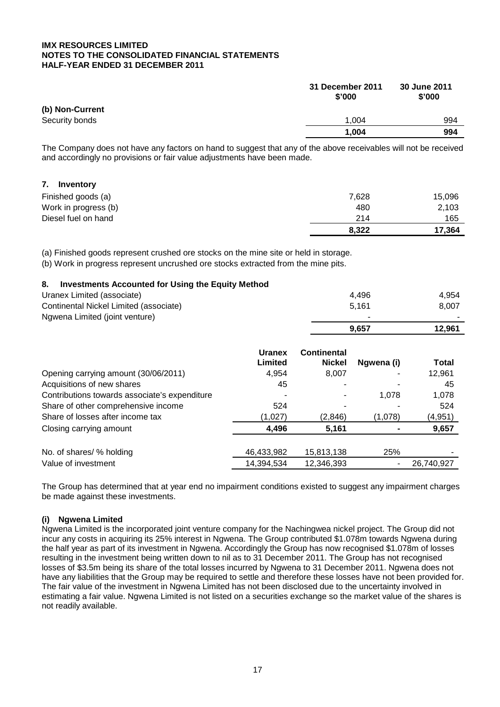|                 | 31 December 2011<br>\$'000 | 30 June 2011<br>\$'000 |
|-----------------|----------------------------|------------------------|
| (b) Non-Current |                            |                        |
| Security bonds  | 1.004                      | 994                    |
|                 | 1.004                      | 994                    |

The Company does not have any factors on hand to suggest that any of the above receivables will not be received and accordingly no provisions or fair value adjustments have been made.

| 7.<br>Inventory      |       |        |
|----------------------|-------|--------|
| Finished goods (a)   | 7,628 | 15,096 |
| Work in progress (b) | 480   | 2,103  |
| Diesel fuel on hand  | 214   | 165    |
|                      | 8,322 | 17,364 |

(a) Finished goods represent crushed ore stocks on the mine site or held in storage.

(b) Work in progress represent uncrushed ore stocks extracted from the mine pits.

#### **8. Investments Accounted for Using the Equity Method**

| Continental Nickel Limited (associate)<br>5,161<br>Ngwena Limited (joint venture)<br>9,657<br><b>Continental</b><br><b>Uranex</b><br>Limited | Uranex Limited (associate) |               | 4,496      | 4,954        |  |
|----------------------------------------------------------------------------------------------------------------------------------------------|----------------------------|---------------|------------|--------------|--|
|                                                                                                                                              |                            |               |            | 8,007        |  |
|                                                                                                                                              |                            |               |            |              |  |
|                                                                                                                                              |                            |               |            | 12,961       |  |
|                                                                                                                                              |                            | <b>Nickel</b> | Ngwena (i) | <b>Total</b> |  |
| Opening carrying amount (30/06/2011)<br>4,954<br>8,007<br>12,961                                                                             |                            |               |            |              |  |
| 45<br>Acquisitions of new shares                                                                                                             |                            |               |            | 45           |  |
| Contributions towards associate's expenditure<br>1,078                                                                                       |                            |               |            | 1,078        |  |
| Share of other comprehensive income<br>524<br>524                                                                                            |                            |               |            |              |  |
| Share of losses after income tax<br>(1,078)<br>(4, 951)<br>(1,027)<br>(2,846)                                                                |                            |               |            |              |  |
| 4,496<br>5,161<br>Closing carrying amount                                                                                                    |                            |               |            | 9,657        |  |
| 25%<br>46,433,982<br>No. of shares/ % holding<br>15,813,138                                                                                  |                            |               |            |              |  |
| Value of investment<br>14,394,534<br>12,346,393                                                                                              |                            |               |            | 26,740,927   |  |

The Group has determined that at year end no impairment conditions existed to suggest any impairment charges be made against these investments.

#### **(i) Ngwena Limited**

Ngwena Limited is the incorporated joint venture company for the Nachingwea nickel project. The Group did not incur any costs in acquiring its 25% interest in Ngwena. The Group contributed \$1.078m towards Ngwena during the half year as part of its investment in Ngwena. Accordingly the Group has now recognised \$1.078m of losses resulting in the investment being written down to nil as to 31 December 2011. The Group has not recognised losses of \$3.5m being its share of the total losses incurred by Ngwena to 31 December 2011. Ngwena does not have any liabilities that the Group may be required to settle and therefore these losses have not been provided for. The fair value of the investment in Ngwena Limited has not been disclosed due to the uncertainty involved in estimating a fair value. Ngwena Limited is not listed on a securities exchange so the market value of the shares is not readily available.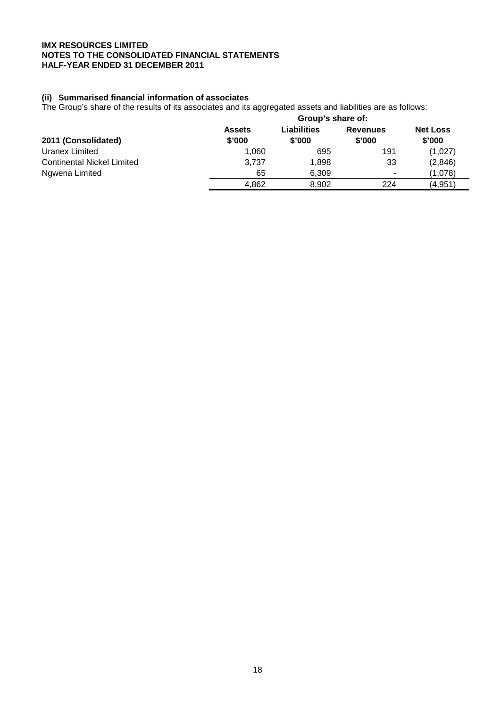#### **(ii) Summarised financial information of associates**

The Group's share of the results of its associates and its aggregated assets and liabilities are as follows:

|                                   | Group's share of:       |                       |                           |                           |  |  |
|-----------------------------------|-------------------------|-----------------------|---------------------------|---------------------------|--|--|
| 2011 (Consolidated)               | <b>Assets</b><br>\$'000 | Liabilities<br>\$'000 | <b>Revenues</b><br>\$'000 | <b>Net Loss</b><br>\$'000 |  |  |
| Uranex Limited                    | 1.060                   | 695                   | 191                       | (1,027)                   |  |  |
| <b>Continental Nickel Limited</b> | 3.737                   | 1,898                 | 33                        | (2,846)                   |  |  |
| Ngwena Limited                    | 65                      | 6,309                 | $\overline{\phantom{a}}$  | (1,078)                   |  |  |
|                                   | 4.862                   | 8,902                 | 224                       | (4,951                    |  |  |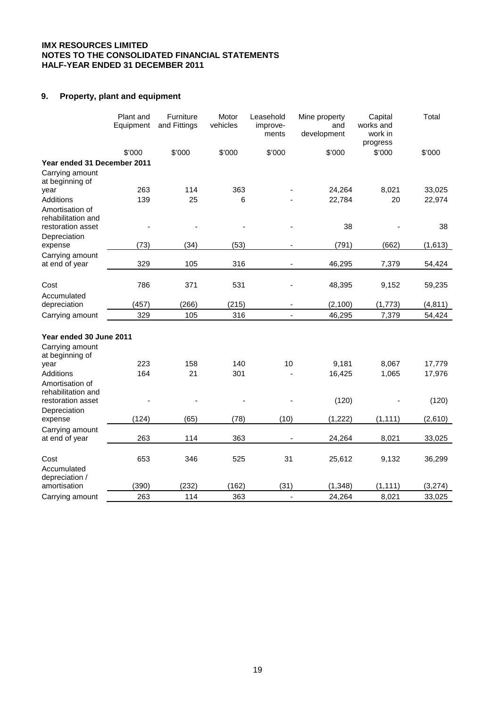## **9. Property, plant and equipment**

|                                       | Plant and<br>Equipment | Furniture<br>and Fittings | Motor<br>vehicles | Leasehold<br>improve-<br>ments | Mine property<br>and<br>development | Capital<br>works and<br>work in<br>progress | Total            |
|---------------------------------------|------------------------|---------------------------|-------------------|--------------------------------|-------------------------------------|---------------------------------------------|------------------|
|                                       | \$'000                 | \$'000                    | \$'000            | \$'000                         | \$'000                              | \$'000                                      | \$'000           |
| Year ended 31 December 2011           |                        |                           |                   |                                |                                     |                                             |                  |
| Carrying amount                       |                        |                           |                   |                                |                                     |                                             |                  |
| at beginning of                       |                        |                           |                   |                                |                                     |                                             |                  |
| year<br>Additions                     | 263<br>139             | 114<br>25                 | 363<br>6          |                                | 24,264<br>22,784                    | 8,021<br>20                                 | 33,025<br>22,974 |
| Amortisation of<br>rehabilitation and |                        |                           |                   |                                |                                     |                                             |                  |
| restoration asset                     |                        |                           |                   |                                | 38                                  |                                             | 38               |
| Depreciation<br>expense               | (73)                   | (34)                      | (53)              |                                | (791)<br>$\overline{\phantom{m}}$   | (662)                                       | (1,613)          |
| Carrying amount                       |                        |                           |                   |                                |                                     |                                             |                  |
| at end of year                        | 329                    | 105                       | 316               |                                | 46,295                              | 7,379                                       | 54,424           |
| Cost                                  | 786                    | 371                       | 531               |                                | 48,395                              | 9,152                                       | 59,235           |
| Accumulated                           |                        |                           |                   |                                |                                     |                                             |                  |
| depreciation                          | (457)                  | (266)                     | (215)             |                                | (2, 100)                            | (1, 773)                                    | (4, 811)         |
| Carrying amount                       | 329                    | 105                       | 316               |                                | 46,295                              | 7,379                                       | 54,424           |
| Year ended 30 June 2011               |                        |                           |                   |                                |                                     |                                             |                  |
| Carrying amount                       |                        |                           |                   |                                |                                     |                                             |                  |
| at beginning of                       |                        |                           |                   |                                |                                     |                                             |                  |
| year                                  | 223                    | 158                       | 140               | 10                             | 9,181                               | 8,067                                       | 17,779           |
| Additions                             | 164                    | 21                        | 301               |                                | 16,425                              | 1,065                                       | 17,976           |
| Amortisation of<br>rehabilitation and |                        |                           |                   |                                |                                     |                                             |                  |
| restoration asset                     |                        |                           |                   |                                | (120)                               |                                             | (120)            |
| Depreciation                          |                        |                           |                   |                                |                                     |                                             |                  |
| expense                               | (124)                  | (65)                      | (78)              | (10)                           | (1,222)                             | (1, 111)                                    | (2,610)          |
| Carrying amount                       |                        |                           |                   |                                |                                     |                                             |                  |
| at end of year                        | 263                    | 114                       | 363               |                                | 24,264                              | 8,021                                       | 33,025           |
| Cost                                  | 653                    | 346                       | 525               | 31                             | 25,612                              | 9,132                                       | 36,299           |
| Accumulated<br>depreciation /         |                        |                           |                   |                                |                                     |                                             |                  |
| amortisation                          | (390)                  | (232)                     | (162)             | (31)                           | (1, 348)                            | (1, 111)                                    | (3, 274)         |
| Carrying amount                       | 263                    | 114                       | 363               |                                | 24,264<br>$\overline{a}$            | 8,021                                       | 33,025           |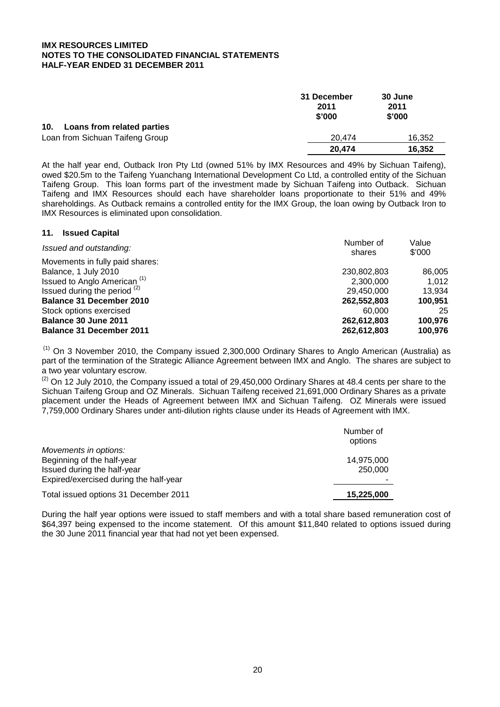|                                   | 31 December<br>2011<br>\$'000 | 30 June<br>2011<br>\$'000 |
|-----------------------------------|-------------------------------|---------------------------|
| 10.<br>Loans from related parties |                               |                           |
| Loan from Sichuan Taifeng Group   | 20.474                        | 16,352                    |
|                                   | 20,474                        | 16,352                    |

At the half year end, Outback Iron Pty Ltd (owned 51% by IMX Resources and 49% by Sichuan Taifeng), owed \$20.5m to the Taifeng Yuanchang International Development Co Ltd, a controlled entity of the Sichuan Taifeng Group. This loan forms part of the investment made by Sichuan Taifeng into Outback. Sichuan Taifeng and IMX Resources should each have shareholder loans proportionate to their 51% and 49% shareholdings. As Outback remains a controlled entity for the IMX Group, the loan owing by Outback Iron to IMX Resources is eliminated upon consolidation.

value of the state of the state of the state of the state of the state of the state of the state of the state of the state of the state of the state of the state of the state of the state of the state of the state of the s

| Issued and outstanding:                 | Number of   |         |
|-----------------------------------------|-------------|---------|
| Movements in fully paid shares:         | shares      | \$'000  |
| Balance, 1 July 2010                    | 230,802,803 | 86,005  |
| Issued to Anglo American <sup>(1)</sup> | 2,300,000   | 1.012   |
| Issued during the period $(2)$          | 29.450.000  | 13.934  |
| <b>Balance 31 December 2010</b>         | 262,552,803 | 100.951 |
| Stock options exercised                 | 60,000      | 25      |
| Balance 30 June 2011                    | 262,612,803 | 100,976 |
| <b>Balance 31 December 2011</b>         | 262,612,803 | 100,976 |

(1) On 3 November 2010, the Company issued 2,300,000 Ordinary Shares to Anglo American (Australia) as part of the termination of the Strategic Alliance Agreement between IMX and Anglo. The shares are subject to a two year voluntary escrow.

 $(2)$  On 12 July 2010, the Company issued a total of 29,450,000 Ordinary Shares at 48.4 cents per share to the Sichuan Taifeng Group and OZ Minerals. Sichuan Taifeng received 21,691,000 Ordinary Shares as a private placement under the Heads of Agreement between IMX and Sichuan Taifeng. OZ Minerals were issued 7,759,000 Ordinary Shares under anti-dilution rights clause under its Heads of Agreement with IMX.

| Movements in options:                  | Number of<br>options |
|----------------------------------------|----------------------|
| Beginning of the half-year             | 14,975,000           |
| Issued during the half-year            | 250,000              |
| Expired/exercised during the half-year |                      |
| Total issued options 31 December 2011  | 15,225,000           |

During the half year options were issued to staff members and with a total share based remuneration cost of \$64,397 being expensed to the income statement. Of this amount \$11,840 related to options issued during the 30 June 2011 financial year that had not yet been expensed.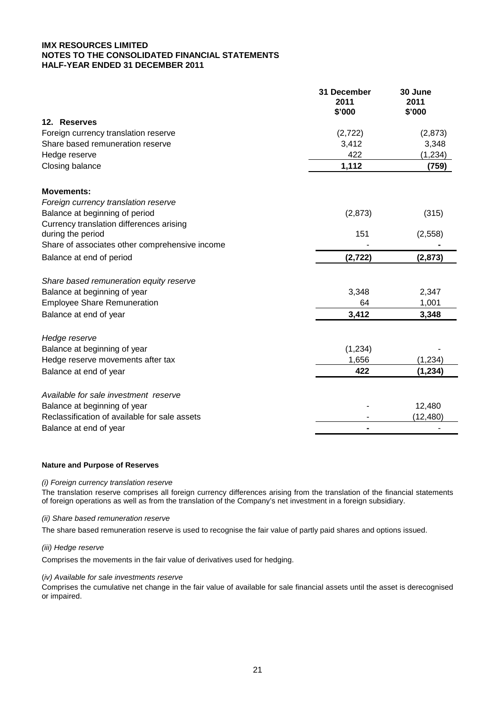|                                                | 31 December<br>2011<br>\$'000 | 30 June<br>2011<br>\$'000 |
|------------------------------------------------|-------------------------------|---------------------------|
| 12. Reserves                                   |                               |                           |
| Foreign currency translation reserve           | (2,722)                       | (2,873)                   |
| Share based remuneration reserve               | 3,412                         | 3,348                     |
| Hedge reserve                                  | 422                           | (1, 234)                  |
| Closing balance                                | 1,112                         | (759)                     |
| <b>Movements:</b>                              |                               |                           |
| Foreign currency translation reserve           |                               |                           |
| Balance at beginning of period                 | (2,873)                       | (315)                     |
| Currency translation differences arising       |                               |                           |
| during the period                              | 151                           | (2, 558)                  |
| Share of associates other comprehensive income |                               |                           |
| Balance at end of period                       | (2, 722)                      | (2, 873)                  |
| Share based remuneration equity reserve        |                               |                           |
| Balance at beginning of year                   | 3,348                         | 2,347                     |
| <b>Employee Share Remuneration</b>             | 64                            | 1,001                     |
| Balance at end of year                         | 3,412                         | 3,348                     |
| Hedge reserve                                  |                               |                           |
| Balance at beginning of year                   | (1,234)                       |                           |
| Hedge reserve movements after tax              | 1,656                         | (1, 234)                  |
| Balance at end of year                         | 422                           | (1, 234)                  |
| Available for sale investment reserve          |                               |                           |
| Balance at beginning of year                   |                               | 12,480                    |
| Reclassification of available for sale assets  |                               | (12, 480)                 |
| Balance at end of year                         |                               |                           |

#### **Nature and Purpose of Reserves**

#### *(i) Foreign currency translation reserve*

The translation reserve comprises all foreign currency differences arising from the translation of the financial statements of foreign operations as well as from the translation of the Company's net investment in a foreign subsidiary.

#### *(ii) Share based remuneration reserve*

The share based remuneration reserve is used to recognise the fair value of partly paid shares and options issued.

#### *(iii) Hedge reserve*

Comprises the movements in the fair value of derivatives used for hedging.

#### (*iv) Available for sale investments reserve*

Comprises the cumulative net change in the fair value of available for sale financial assets until the asset is derecognised or impaired.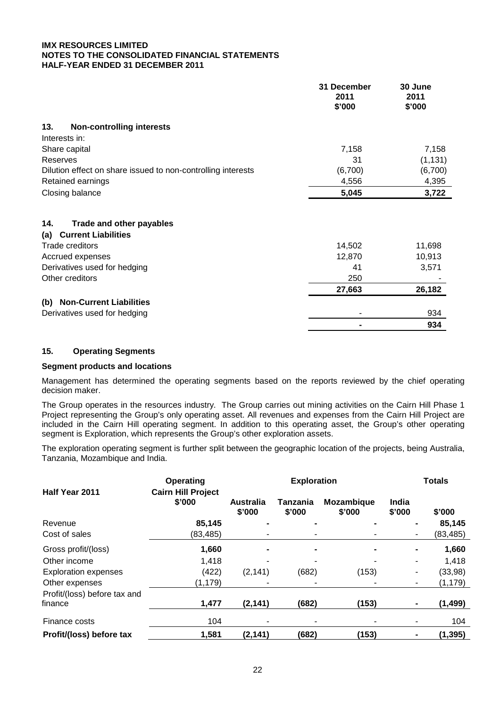|                                                                      | 31 December<br>2011<br>\$'000 | 30 June<br>2011<br>\$'000 |
|----------------------------------------------------------------------|-------------------------------|---------------------------|
| 13.<br><b>Non-controlling interests</b>                              |                               |                           |
| Interests in:                                                        |                               |                           |
| Share capital                                                        | 7,158                         | 7,158                     |
| Reserves                                                             | 31                            | (1, 131)                  |
| Dilution effect on share issued to non-controlling interests         | (6,700)                       | (6,700)                   |
| Retained earnings                                                    | 4,556                         | 4,395                     |
| Closing balance                                                      | 5,045                         | 3,722                     |
| Trade and other payables<br>14.<br><b>Current Liabilities</b><br>(a) |                               |                           |
| Trade creditors                                                      | 14,502                        | 11,698                    |
| Accrued expenses                                                     | 12,870                        | 10,913                    |
| Derivatives used for hedging                                         | 41                            | 3,571                     |
| Other creditors                                                      | 250                           |                           |
|                                                                      | 27,663                        | 26,182                    |
| <b>Non-Current Liabilities</b><br>(b)                                |                               |                           |
| Derivatives used for hedging                                         | ٠                             | 934                       |
|                                                                      |                               | 934                       |

#### **15. Operating Segments**

#### **Segment products and locations**

Management has determined the operating segments based on the reports reviewed by the chief operating decision maker.

The Group operates in the resources industry. The Group carries out mining activities on the Cairn Hill Phase 1 Project representing the Group's only operating asset. All revenues and expenses from the Cairn Hill Project are included in the Cairn Hill operating segment. In addition to this operating asset, the Group's other operating segment is Exploration, which represents the Group's other exploration assets.

The exploration operating segment is further split between the geographic location of the projects, being Australia, Tanzania, Mozambique and India.

|                                         | <b>Operating</b>                    | <b>Exploration</b>                                                       |       |                 |        | <b>Totals</b> |  |
|-----------------------------------------|-------------------------------------|--------------------------------------------------------------------------|-------|-----------------|--------|---------------|--|
| Half Year 2011                          | <b>Cairn Hill Project</b><br>\$'000 | Mozambique<br><b>Australia</b><br>Tanzania<br>\$'000<br>\$'000<br>\$'000 |       | India<br>\$'000 | \$'000 |               |  |
| Revenue                                 | 85,145                              |                                                                          |       |                 |        | 85,145        |  |
| Cost of sales                           | (83,485)                            |                                                                          |       |                 |        | (83,485)      |  |
| Gross profit/(loss)                     | 1,660                               |                                                                          |       |                 |        | 1,660         |  |
| Other income                            | 1,418                               |                                                                          |       |                 |        | 1,418         |  |
| <b>Exploration expenses</b>             | (422)                               | (2, 141)                                                                 | (682) | (153)           |        | (33,98)       |  |
| Other expenses                          | (1, 179)                            |                                                                          |       |                 |        | (1, 179)      |  |
| Profit/(loss) before tax and<br>finance | 1,477                               | (2, 141)                                                                 | (682) | (153)           |        | (1, 499)      |  |
| Finance costs                           | 104                                 |                                                                          |       |                 |        | 104           |  |
| Profit/(loss) before tax                | 1,581                               | (2, 141)                                                                 | (682) | (153)           |        | (1, 395)      |  |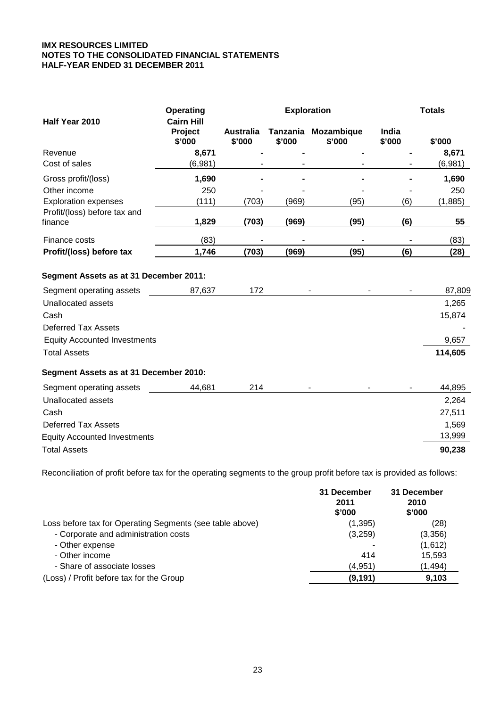| Half Year 2010                          | Operating<br><b>Cairn Hill</b> |                            | <b>Exploration</b> | <b>Totals</b>                 |                 |         |
|-----------------------------------------|--------------------------------|----------------------------|--------------------|-------------------------------|-----------------|---------|
|                                         | Project<br>\$'000              | <b>Australia</b><br>\$'000 | \$'000             | Tanzania Mozambique<br>\$'000 | India<br>\$'000 | \$'000  |
| Revenue                                 | 8,671                          |                            |                    |                               |                 | 8,671   |
| Cost of sales                           | (6,981)                        |                            |                    |                               |                 | (6,981) |
| Gross profit/(loss)                     | 1,690                          |                            |                    |                               |                 | 1,690   |
| Other income                            | 250                            |                            |                    |                               |                 | 250     |
| <b>Exploration expenses</b>             | (111)                          | (703)                      | (969)              | (95)                          | (6)             | (1,885) |
| Profit/(loss) before tax and<br>finance | 1,829                          | (703)                      | (969)              | (95)                          | (6)             | 55      |
| Finance costs                           | (83)                           |                            |                    |                               |                 | (83)    |
| Profit/(loss) before tax                | 1,746                          | (703)                      | (969)              | (95)                          | (6)             | (28)    |
| Segment Assets as at 31 December 2011:  |                                |                            |                    |                               |                 |         |
| Segment operating assets                | 87,637                         | 172                        |                    |                               |                 | 87,809  |
| <b>Unallocated assets</b>               |                                |                            |                    |                               |                 | 1,265   |
| Cash                                    |                                |                            |                    |                               |                 | 15,874  |
| <b>Deferred Tax Assets</b>              |                                |                            |                    |                               |                 |         |
| <b>Equity Accounted Investments</b>     |                                |                            |                    |                               |                 | 9,657   |
| <b>Total Assets</b>                     |                                |                            |                    |                               |                 | 114,605 |
| Segment Assets as at 31 December 2010:  |                                |                            |                    |                               |                 |         |
| Segment operating assets                | 44,681                         | 214                        |                    |                               |                 | 44,895  |
| <b>Unallocated assets</b>               |                                |                            |                    |                               |                 | 2,264   |
| Cash                                    |                                |                            |                    |                               |                 | 27,511  |
| <b>Deferred Tax Assets</b>              |                                |                            |                    |                               |                 | 1,569   |
| <b>Equity Accounted Investments</b>     |                                |                            |                    |                               |                 | 13,999  |
| <b>Total Assets</b>                     |                                |                            |                    |                               |                 | 90,238  |

Reconciliation of profit before tax for the operating segments to the group profit before tax is provided as follows:

|                                                          | 31 December<br>2011<br>\$'000 | 31 December<br>2010<br>\$'000 |
|----------------------------------------------------------|-------------------------------|-------------------------------|
| Loss before tax for Operating Segments (see table above) | (1, 395)                      | (28)                          |
| - Corporate and administration costs                     | (3,259)                       | (3,356)                       |
| - Other expense                                          |                               | (1,612)                       |
| - Other income                                           | 414                           | 15,593                        |
| - Share of associate losses                              | (4,951)                       | (1, 494)                      |
| (Loss) / Profit before tax for the Group                 | (9, 191)                      | 9,103                         |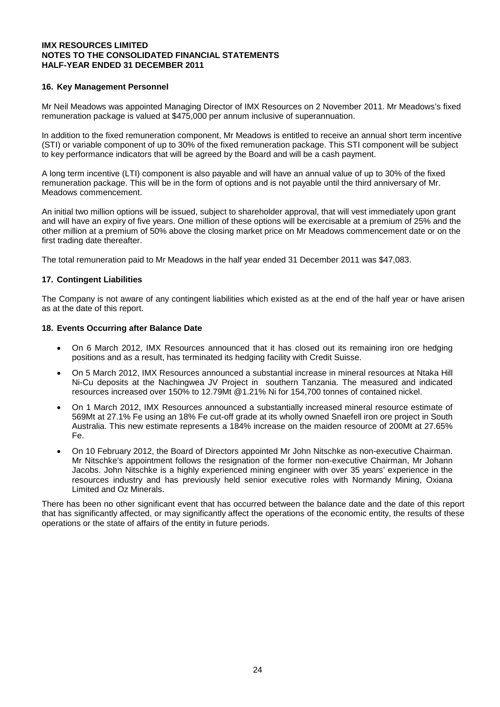#### **16. Key Management Personnel**

Mr Neil Meadows was appointed Managing Director of IMX Resources on 2 November 2011. Mr Meadows's fixed remuneration package is valued at \$475,000 per annum inclusive of superannuation.

In addition to the fixed remuneration component, Mr Meadows is entitled to receive an annual short term incentive (STI) or variable component of up to 30% of the fixed remuneration package. This STI component will be subject to key performance indicators that will be agreed by the Board and will be a cash payment.

A long term incentive (LTI) component is also payable and will have an annual value of up to 30% of the fixed remuneration package. This will be in the form of options and is not payable until the third anniversary of Mr. Meadows commencement.

An initial two million options will be issued, subject to shareholder approval, that will vest immediately upon grant and will have an expiry of five years. One million of these options will be exercisable at a premium of 25% and the other million at a premium of 50% above the closing market price on Mr Meadows commencement date or on the first trading date thereafter.

The total remuneration paid to Mr Meadows in the half year ended 31 December 2011 was \$47,083.

#### **17. Contingent Liabilities**

The Company is not aware of any contingent liabilities which existed as at the end of the half year or have arisen as at the date of this report.

#### **18. Events Occurring after Balance Date**

- On 6 March 2012, IMX Resources announced that it has closed out its remaining iron ore hedging positions and as a result, has terminated its hedging facility with Credit Suisse.
- On 5 March 2012, IMX Resources announced a substantial increase in mineral resources at Ntaka Hill Ni-Cu deposits at the Nachingwea JV Project in southern Tanzania. The measured and indicated resources increased over 150% to 12.79Mt @1.21% Ni for 154,700 tonnes of contained nickel.
- On 1 March 2012, IMX Resources announced a substantially increased mineral resource estimate of 569Mt at 27.1% Fe using an 18% Fe cut-off grade at its wholly owned Snaefell iron ore project in South Australia. This new estimate represents a 184% increase on the maiden resource of 200Mt at 27.65% Fe.
- On 10 February 2012, the Board of Directors appointed Mr John Nitschke as non-executive Chairman. Mr Nitschke's appointment follows the resignation of the former non-executive Chairman, Mr Johann Jacobs. John Nitschke is a highly experienced mining engineer with over 35 years' experience in the resources industry and has previously held senior executive roles with Normandy Mining, Oxiana Limited and Oz Minerals.

There has been no other significant event that has occurred between the balance date and the date of this report that has significantly affected, or may significantly affect the operations of the economic entity, the results of these operations or the state of affairs of the entity in future periods.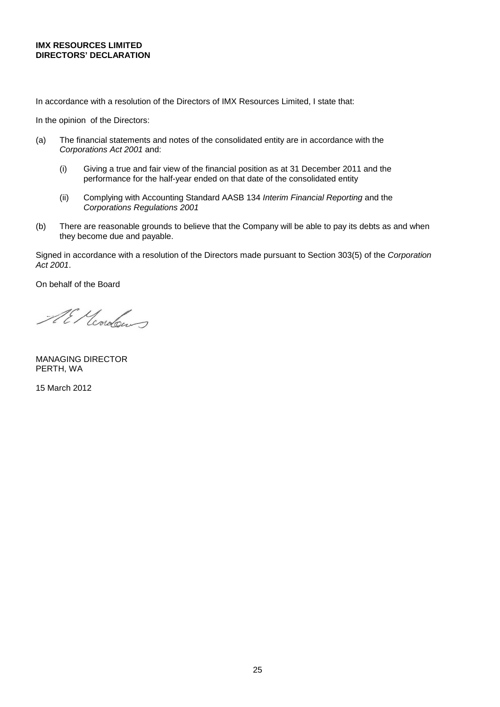#### **IMX RESOURCES LIMITED DIRECTORS' DECLARATION**

In accordance with a resolution of the Directors of IMX Resources Limited, I state that:

In the opinion of the Directors:

- (a) The financial statements and notes of the consolidated entity are in accordance with the *Corporations Act 2001* and:
	- (i) Giving a true and fair view of the financial position as at 31 December 2011 and the performance for the half-year ended on that date of the consolidated entity
	- (ii) Complying with Accounting Standard AASB 134 *Interim Financial Reporting* and the *Corporations Regulations 2001*
- (b) There are reasonable grounds to believe that the Company will be able to pay its debts as and when they become due and payable.

Signed in accordance with a resolution of the Directors made pursuant to Section 303(5) of the *Corporation Act 2001*.

On behalf of the Board

Al Mondows

MANAGING DIRECTOR PERTH, WA

15 March 2012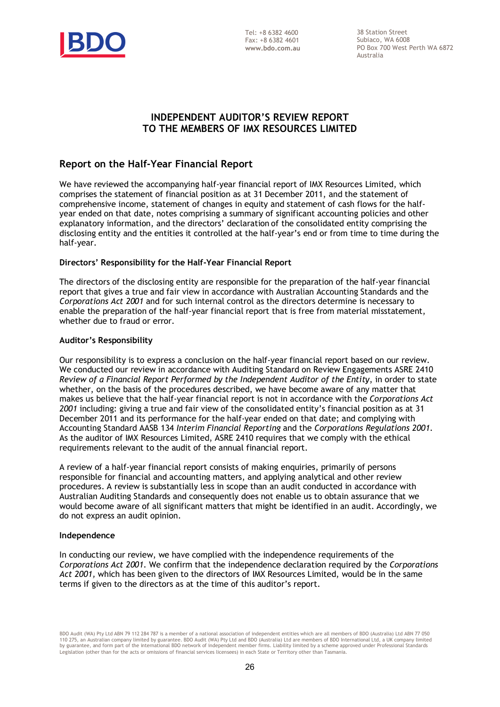

38 Station Street Subiaco, WA 6008 PO Box 700 West Perth WA 6872 Australia

## **INDEPENDENT AUDITOR'S REVIEW REPORT TO THE MEMBERS OF IMX RESOURCES LIMITED**

## **Report on the Half-Year Financial Report**

We have reviewed the accompanying half-year financial report of IMX Resources Limited, which comprises the statement of financial position as at 31 December 2011, and the statement of comprehensive income, statement of changes in equity and statement of cash flows for the halfyear ended on that date, notes comprising a summary of significant accounting policies and other explanatory information, and the directors' declaration of the consolidated entity comprising the disclosing entity and the entities it controlled at the half-year's end or from time to time during the half-year.

#### **Directors' Responsibility for the Half-Year Financial Report**

The directors of the disclosing entity are responsible for the preparation of the half-year financial report that gives a true and fair view in accordance with Australian Accounting Standards and the *Corporations Act 2001* and for such internal control as the directors determine is necessary to enable the preparation of the half-year financial report that is free from material misstatement, whether due to fraud or error.

#### **Auditor's Responsibility**

Our responsibility is to express a conclusion on the half-year financial report based on our review. We conducted our review in accordance with Auditing Standard on Review Engagements ASRE 2410 *Review of a Financial Report Performed by the Independent Auditor of the Entity*, in order to state whether, on the basis of the procedures described, we have become aware of any matter that makes us believe that the half-year financial report is not in accordance with the *Corporations Act 2001* including: giving a true and fair view of the consolidated entity's financial position as at 31 December 2011 and its performance for the half-year ended on that date; and complying with Accounting Standard AASB 134 *Interim Financial Reporting* and the *Corporations Regulations 2001*. As the auditor of IMX Resources Limited, ASRE 2410 requires that we comply with the ethical requirements relevant to the audit of the annual financial report.

A review of a half-year financial report consists of making enquiries, primarily of persons responsible for financial and accounting matters, and applying analytical and other review procedures. A review is substantially less in scope than an audit conducted in accordance with Australian Auditing Standards and consequently does not enable us to obtain assurance that we would become aware of all significant matters that might be identified in an audit. Accordingly, we do not express an audit opinion.

#### **Independence**

In conducting our review, we have complied with the independence requirements of the *Corporations Act 2001*. We confirm that the independence declaration required by the *Corporations Act 2001,* which has been given to the directors of IMX Resources Limited, would be in the same terms if given to the directors as at the time of this auditor's report.

BDO Audit (WA) Pty Ltd ABN 79 112 284 787 is a member of a national association of independent entities which are all members of BDO (Australia) Ltd ABN 77 050 110 275, an Australian company limited by guarantee. BDO Audit (WA) Pty Ltd and BDO (Australia) Ltd are members of BDO International Ltd, a UK company limited<br>by guarantee, and form part of the international BDO network of Legislation (other than for the acts or omissions of financial services licensees) in each State or Territory other than Tasmania.